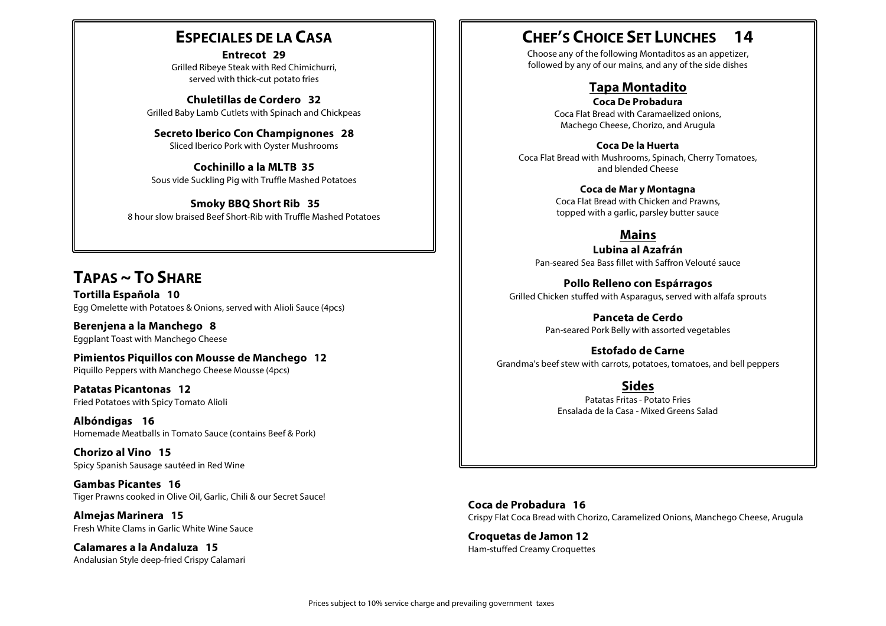### **ESPECIALES DE LA CASA**

**Entrecot 29** Grilled Ribeye Steak with Red Chimichurri, served with thick-cut potato fries

**Chuletillas de Cordero 32** Grilled Baby Lamb Cutlets with Spinach and Chickpeas

**Secreto Iberico Con Champignones 28** Sliced Iberico Pork with Oyster Mushrooms

**Cochinillo a la MLTB 35** Sous vide Suckling Pig with Truffle Mashed Potatoes

**Smoky BBQ Short Rib 35** 8 hour slow braised Beef Short-Rib with Truffle Mashed Potatoes

## **TAPAS ~ TO SHARE**

**Tortilla Española 10** Egg Omelette with Potatoes & Onions, served with Alioli Sauce (4pcs)

**Berenjena a la Manchego 8** Eggplant Toast with Manchego Cheese

**Pimientos Piquillos con Mousse de Manchego 12** Piquillo Peppers with Manchego Cheese Mousse (4pcs)

**Patatas Picantonas 12** Fried Potatoes with Spicy Tomato Alioli

**Albóndigas 16** Homemade Meatballs in Tomato Sauce (contains Beef & Pork)

**Chorizo al Vino 15** Spicy Spanish Sausage sautéed in Red Wine

**Gambas Picantes 16** Tiger Prawns cooked in Olive Oil, Garlic, Chili & our Secret Sauce!

**Almejas Marinera 15** Fresh White Clams in Garlic White Wine Sauce

**Calamares a la Andaluza 15** Andalusian Style deep-fried Crispy Calamari

### **CHEF'S CHOICE SET LUNCHES 14**

Choose any of the following Montaditos as an appetizer, followed by any of our mains, and any of the side dishes

#### **Tapa Montadito**

**Coca De Probadura** Coca Flat Bread with Caramaelized onions, Machego Cheese, Chorizo, and Arugula

**Coca De la Huerta** Coca Flat Bread with Mushrooms, Spinach, Cherry Tomatoes, and blended Cheese

> **Coca de Mar y Montagna** Coca Flat Bread with Chicken and Prawns, topped with a garlic, parsley butter sauce

**Mains Lubina al Azafrán**

Pan-seared Sea Bass fillet with Saffron Velouté sauce

**Pollo Relleno con Espárragos** Grilled Chicken stuffed with Asparagus, served with alfafa sprouts

> **Panceta de Cerdo** Pan-seared Pork Belly with assorted vegetables

**Estofado de Carne** Grandma's beef stew with carrots, potatoes, tomatoes, and bell peppers

> **Sides** Patatas Fritas - Potato Fries Ensalada de la Casa - Mixed Greens Salad

**Coca de Probadura 16** Crispy Flat Coca Bread with Chorizo, Caramelized Onions, Manchego Cheese, Arugula

**Croquetas de Jamon 12** Ham-stuffed Creamy Croquettes